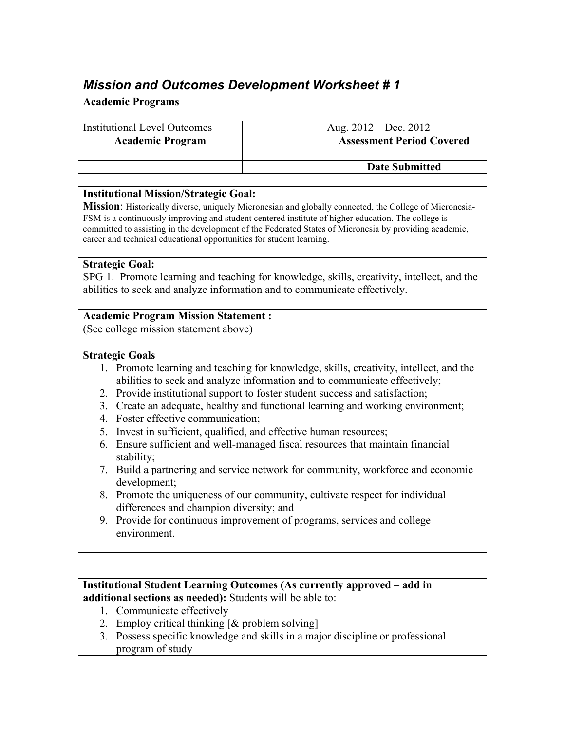# *Mission and Outcomes Development Worksheet # 1*

## **Academic Programs**

| <b>Institutional Level Outcomes</b> | Aug. $2012 - Dec. 2012$          |
|-------------------------------------|----------------------------------|
| <b>Academic Program</b>             | <b>Assessment Period Covered</b> |
|                                     |                                  |
|                                     | <b>Date Submitted</b>            |

#### **Institutional Mission/Strategic Goal:**

**Mission**: Historically diverse, uniquely Micronesian and globally connected, the College of Micronesia-FSM is a continuously improving and student centered institute of higher education. The college is committed to assisting in the development of the Federated States of Micronesia by providing academic, career and technical educational opportunities for student learning.

#### **Strategic Goal:**

SPG 1. Promote learning and teaching for knowledge, skills, creativity, intellect, and the abilities to seek and analyze information and to communicate effectively.

#### **Academic Program Mission Statement :**

(See college mission statement above)

#### **Strategic Goals**

- 1. Promote learning and teaching for knowledge, skills, creativity, intellect, and the abilities to seek and analyze information and to communicate effectively;
- 2. Provide institutional support to foster student success and satisfaction;
- 3. Create an adequate, healthy and functional learning and working environment;
- 4. Foster effective communication;
- 5. Invest in sufficient, qualified, and effective human resources;
- 6. Ensure sufficient and well-managed fiscal resources that maintain financial stability;
- 7. Build a partnering and service network for community, workforce and economic development;
- 8. Promote the uniqueness of our community, cultivate respect for individual differences and champion diversity; and
- 9. Provide for continuous improvement of programs, services and college environment.

#### **Institutional Student Learning Outcomes (As currently approved – add in additional sections as needed):** Students will be able to:

- 1. Communicate effectively
- 2. Employ critical thinking [& problem solving]
- 3. Possess specific knowledge and skills in a major discipline or professional program of study